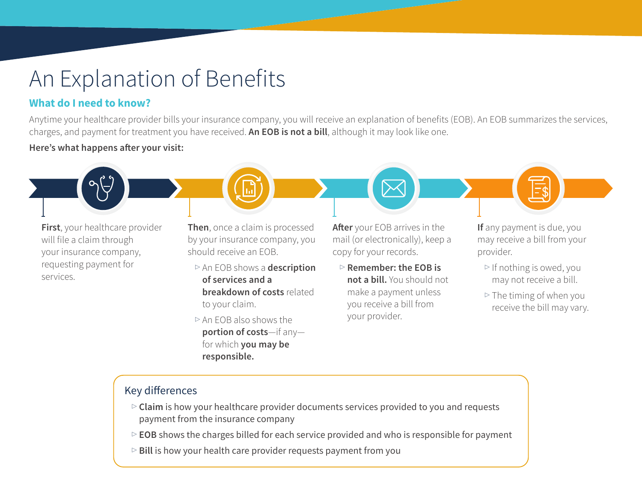# An Explanation of Benefits

## **What do I need to know?**

Anytime your healthcare provider bills your insurance company, you will receive an explanation of benefits (EOB). An EOB summarizes the services, charges, and payment for treatment you have received. **An EOB is not a bill**, although it may look like one.

#### **Here's what happens after your visit:**

**First**, your healthcare provider will file a claim through your insurance company, requesting payment for services.

**Then**, once a claim is processed by your insurance company, you should receive an EOB.

<sup>▷</sup> An EOB shows a **description of services and a breakdown of costs** related to your claim.

 $\triangleright$  An EOB also shows the **portion of costs**—if any for which **you may be responsible.**

**After** your EOB arrives in the mail (or electronically), keep a copy for your records.

<sup>▷</sup> **Remember: the EOB is not a bill.** You should not make a payment unless you receive a bill from your provider.

**If** any payment is due, you may receive a bill from your provider.

- <sup>▷</sup> If nothing is owed, you may not receive a bill.
- $\triangleright$  The timing of when you receive the bill may vary.

#### Key differences

- <sup>▷</sup> **Claim** is how your healthcare provider documents services provided to you and requests payment from the insurance company
- <sup>▷</sup> **EOB** shows the charges billed for each service provided and who is responsible for payment
- <sup>▷</sup> **Bill** is how your health care provider requests payment from you